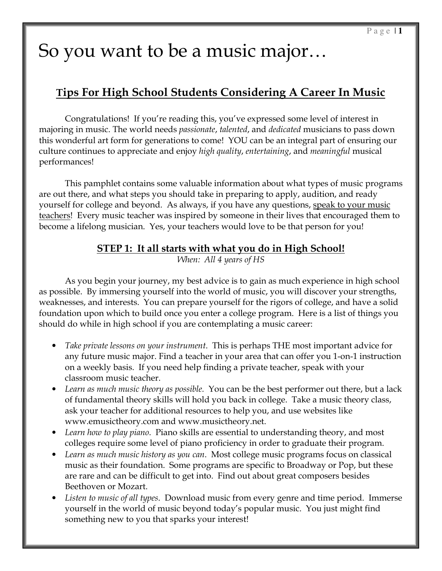# So you want to be a music major…

## Tips For High School Students Considering A Career In Music

Congratulations! If you're reading this, you've expressed some level of interest in majoring in music. The world needs *passionate, talented*, and *dedicated* musicians to pass down this wonderful art form for generations to come! YOU can be an integral part of ensuring our culture continues to appreciate and enjoy high quality, entertaining, and meaningful musical performances!

This pamphlet contains some valuable information about what types of music programs are out there, and what steps you should take in preparing to apply, audition, and ready yourself for college and beyond. As always, if you have any questions, speak to your music teachers! Every music teacher was inspired by someone in their lives that encouraged them to become a lifelong musician. Yes, your teachers would love to be that person for you!

#### STEP 1: It all starts with what you do in High School!

When: All 4 years of HS

 As you begin your journey, my best advice is to gain as much experience in high school as possible. By immersing yourself into the world of music, you will discover your strengths, weaknesses, and interests. You can prepare yourself for the rigors of college, and have a solid foundation upon which to build once you enter a college program. Here is a list of things you should do while in high school if you are contemplating a music career:

- Take private lessons on your instrument. This is perhaps THE most important advice for any future music major. Find a teacher in your area that can offer you 1-on-1 instruction on a weekly basis. If you need help finding a private teacher, speak with your classroom music teacher.
- Learn as much music theory as possible. You can be the best performer out there, but a lack of fundamental theory skills will hold you back in college. Take a music theory class, ask your teacher for additional resources to help you, and use websites like www.emusictheory.com and www.musictheory.net.
- Learn how to play piano. Piano skills are essential to understanding theory, and most colleges require some level of piano proficiency in order to graduate their program.
- Learn as much music history as you can. Most college music programs focus on classical music as their foundation. Some programs are specific to Broadway or Pop, but these are rare and can be difficult to get into. Find out about great composers besides Beethoven or Mozart.
- Listen to music of all types. Download music from every genre and time period. Immerse yourself in the world of music beyond today's popular music. You just might find something new to you that sparks your interest!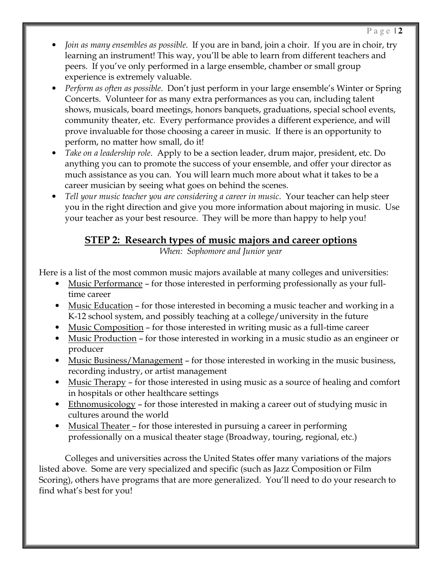- Join as many ensembles as possible. If you are in band, join a choir. If you are in choir, try learning an instrument! This way, you'll be able to learn from different teachers and peers. If you've only performed in a large ensemble, chamber or small group experience is extremely valuable.
- Perform as often as possible. Don't just perform in your large ensemble's Winter or Spring Concerts. Volunteer for as many extra performances as you can, including talent shows, musicals, board meetings, honors banquets, graduations, special school events, community theater, etc. Every performance provides a different experience, and will prove invaluable for those choosing a career in music. If there is an opportunity to perform, no matter how small, do it!
- Take on a leadership role. Apply to be a section leader, drum major, president, etc. Do anything you can to promote the success of your ensemble, and offer your director as much assistance as you can. You will learn much more about what it takes to be a career musician by seeing what goes on behind the scenes.
- Tell your music teacher you are considering a career in music. Your teacher can help steer you in the right direction and give you more information about majoring in music. Use your teacher as your best resource. They will be more than happy to help you!

## STEP 2: Research types of music majors and career options

When: Sophomore and Junior year

Here is a list of the most common music majors available at many colleges and universities:

- Music Performance for those interested in performing professionally as your fulltime career
- Music Education for those interested in becoming a music teacher and working in a K-12 school system, and possibly teaching at a college/university in the future
- Music Composition for those interested in writing music as a full-time career
- Music Production for those interested in working in a music studio as an engineer or producer
- Music Business/Management for those interested in working in the music business, recording industry, or artist management
- Music Therapy for those interested in using music as a source of healing and comfort in hospitals or other healthcare settings
- Ethnomusicology for those interested in making a career out of studying music in cultures around the world
- Musical Theater for those interested in pursuing a career in performing professionally on a musical theater stage (Broadway, touring, regional, etc.)

Colleges and universities across the United States offer many variations of the majors listed above. Some are very specialized and specific (such as Jazz Composition or Film Scoring), others have programs that are more generalized. You'll need to do your research to find what's best for you!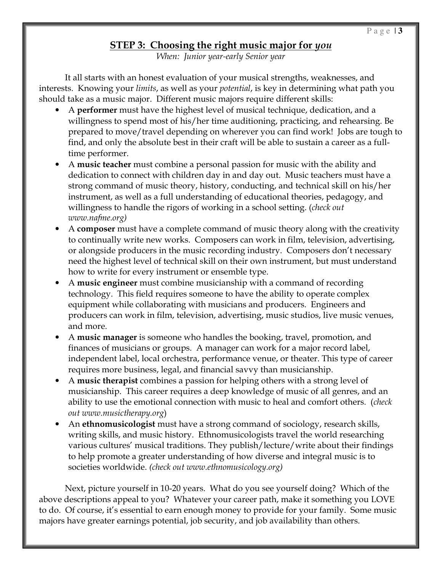#### STEP 3: Choosing the right music major for you

When: Junior year-early Senior year

It all starts with an honest evaluation of your musical strengths, weaknesses, and interests. Knowing your *limits*, as well as your *potential*, is key in determining what path you should take as a music major. Different music majors require different skills:

- A performer must have the highest level of musical technique, dedication, and a willingness to spend most of his/her time auditioning, practicing, and rehearsing. Be prepared to move/travel depending on wherever you can find work! Jobs are tough to find, and only the absolute best in their craft will be able to sustain a career as a fulltime performer.
- A music teacher must combine a personal passion for music with the ability and dedication to connect with children day in and day out. Music teachers must have a strong command of music theory, history, conducting, and technical skill on his/her instrument, as well as a full understanding of educational theories, pedagogy, and willingness to handle the rigors of working in a school setting. (*check out* www.nafme.org)
- A composer must have a complete command of music theory along with the creativity to continually write new works. Composers can work in film, television, advertising, or alongside producers in the music recording industry. Composers don't necessary need the highest level of technical skill on their own instrument, but must understand how to write for every instrument or ensemble type.
- A music engineer must combine musicianship with a command of recording technology. This field requires someone to have the ability to operate complex equipment while collaborating with musicians and producers. Engineers and producers can work in film, television, advertising, music studios, live music venues, and more.
- A music manager is someone who handles the booking, travel, promotion, and finances of musicians or groups. A manager can work for a major record label, independent label, local orchestra, performance venue, or theater. This type of career requires more business, legal, and financial savvy than musicianship.
- A music therapist combines a passion for helping others with a strong level of musicianship. This career requires a deep knowledge of music of all genres, and an ability to use the emotional connection with music to heal and comfort others. (check out www.musictherapy.org)
- An ethnomusicologist must have a strong command of sociology, research skills, writing skills, and music history. Ethnomusicologists travel the world researching various cultures' musical traditions. They publish/lecture/write about their findings to help promote a greater understanding of how diverse and integral music is to societies worldwide. (check out www.ethnomusicology.org)

Next, picture yourself in 10-20 years. What do you see yourself doing? Which of the above descriptions appeal to you? Whatever your career path, make it something you LOVE to do. Of course, it's essential to earn enough money to provide for your family. Some music majors have greater earnings potential, job security, and job availability than others.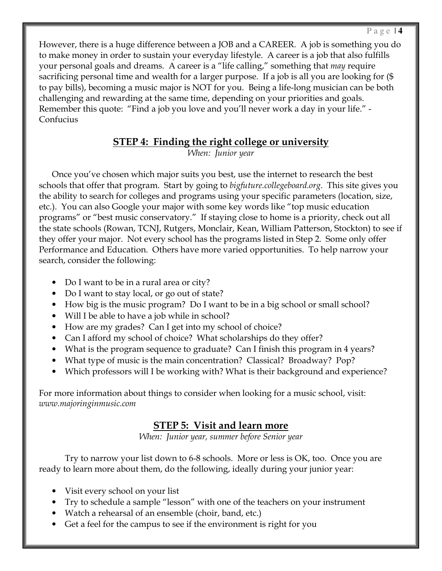However, there is a huge difference between a JOB and a CAREER. A job is something you do to make money in order to sustain your everyday lifestyle. A career is a job that also fulfills your personal goals and dreams. A career is a "life calling," something that may require sacrificing personal time and wealth for a larger purpose. If a job is all you are looking for (\$ to pay bills), becoming a music major is NOT for you. Being a life-long musician can be both challenging and rewarding at the same time, depending on your priorities and goals. Remember this quote: "Find a job you love and you'll never work a day in your life." - Confucius

#### STEP 4: Finding the right college or university

When: Junior year

Once you've chosen which major suits you best, use the internet to research the best schools that offer that program. Start by going to *bigfuture.collegeboard.org*. This site gives you the ability to search for colleges and programs using your specific parameters (location, size, etc.). You can also Google your major with some key words like "top music education programs" or "best music conservatory." If staying close to home is a priority, check out all the state schools (Rowan, TCNJ, Rutgers, Monclair, Kean, William Patterson, Stockton) to see if they offer your major. Not every school has the programs listed in Step 2. Some only offer Performance and Education. Others have more varied opportunities. To help narrow your search, consider the following:

- Do I want to be in a rural area or city?
- Do I want to stay local, or go out of state?
- How big is the music program? Do I want to be in a big school or small school?
- Will I be able to have a job while in school?
- How are my grades? Can I get into my school of choice?
- Can I afford my school of choice? What scholarships do they offer?
- What is the program sequence to graduate? Can I finish this program in 4 years?
- What type of music is the main concentration? Classical? Broadway? Pop?
- Which professors will I be working with? What is their background and experience?

For more information about things to consider when looking for a music school, visit: www.majoringinmusic.com

#### STEP 5: Visit and learn more

When: Junior year, summer before Senior year

Try to narrow your list down to 6-8 schools. More or less is OK, too. Once you are ready to learn more about them, do the following, ideally during your junior year:

- Visit every school on your list
- Try to schedule a sample "lesson" with one of the teachers on your instrument
- Watch a rehearsal of an ensemble (choir, band, etc.)
- Get a feel for the campus to see if the environment is right for you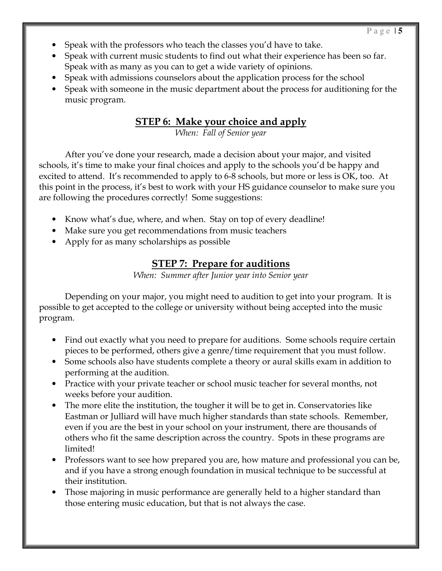- Speak with the professors who teach the classes you'd have to take.
- Speak with current music students to find out what their experience has been so far. Speak with as many as you can to get a wide variety of opinions.
- Speak with admissions counselors about the application process for the school
- Speak with someone in the music department about the process for auditioning for the music program.

### **STEP 6: Make your choice and apply**

When: Fall of Senior year

 After you've done your research, made a decision about your major, and visited schools, it's time to make your final choices and apply to the schools you'd be happy and excited to attend. It's recommended to apply to 6-8 schools, but more or less is OK, too. At this point in the process, it's best to work with your HS guidance counselor to make sure you are following the procedures correctly! Some suggestions:

- Know what's due, where, and when. Stay on top of every deadline!
- Make sure you get recommendations from music teachers
- Apply for as many scholarships as possible

### STEP 7: Prepare for auditions

When: Summer after Junior year into Senior year

 Depending on your major, you might need to audition to get into your program. It is possible to get accepted to the college or university without being accepted into the music program.

- Find out exactly what you need to prepare for auditions. Some schools require certain pieces to be performed, others give a genre/time requirement that you must follow.
- Some schools also have students complete a theory or aural skills exam in addition to performing at the audition.
- Practice with your private teacher or school music teacher for several months, not weeks before your audition.
- The more elite the institution, the tougher it will be to get in. Conservatories like Eastman or Julliard will have much higher standards than state schools. Remember, even if you are the best in your school on your instrument, there are thousands of others who fit the same description across the country. Spots in these programs are limited!
- Professors want to see how prepared you are, how mature and professional you can be, and if you have a strong enough foundation in musical technique to be successful at their institution.
- Those majoring in music performance are generally held to a higher standard than those entering music education, but that is not always the case.